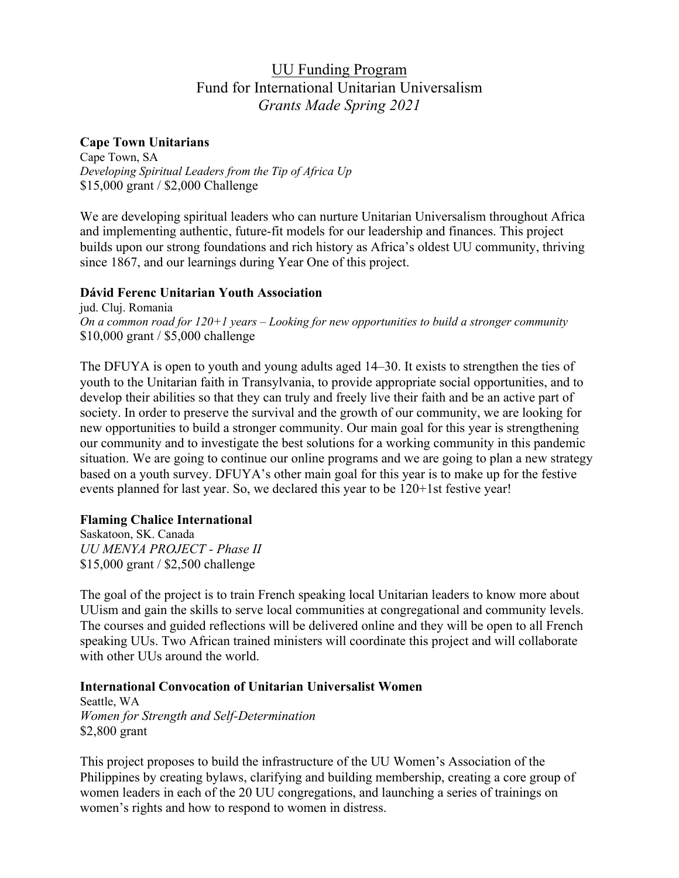# UU Funding Program Fund for International Unitarian Universalism *Grants Made Spring 2021*

# **Cape Town Unitarians**

Cape Town, SA *Developing Spiritual Leaders from the Tip of Africa Up* \$15,000 grant / \$2,000 Challenge

We are developing spiritual leaders who can nurture Unitarian Universalism throughout Africa and implementing authentic, future-fit models for our leadership and finances. This project builds upon our strong foundations and rich history as Africa's oldest UU community, thriving since 1867, and our learnings during Year One of this project.

# **Dávid Ferenc Unitarian Youth Association**

jud. Cluj. Romania *On a common road for 120+1 years – Looking for new opportunities to build a stronger community* \$10,000 grant / \$5,000 challenge

The DFUYA is open to youth and young adults aged 14–30. It exists to strengthen the ties of youth to the Unitarian faith in Transylvania, to provide appropriate social opportunities, and to develop their abilities so that they can truly and freely live their faith and be an active part of society. In order to preserve the survival and the growth of our community, we are looking for new opportunities to build a stronger community. Our main goal for this year is strengthening our community and to investigate the best solutions for a working community in this pandemic situation. We are going to continue our online programs and we are going to plan a new strategy based on a youth survey. DFUYA's other main goal for this year is to make up for the festive events planned for last year. So, we declared this year to be 120+1st festive year!

# **Flaming Chalice International**

Saskatoon, SK. Canada *UU MENYA PROJECT - Phase II* \$15,000 grant / \$2,500 challenge

The goal of the project is to train French speaking local Unitarian leaders to know more about UUism and gain the skills to serve local communities at congregational and community levels. The courses and guided reflections will be delivered online and they will be open to all French speaking UUs. Two African trained ministers will coordinate this project and will collaborate with other UUs around the world.

# **International Convocation of Unitarian Universalist Women**

Seattle, WA *Women for Strength and Self-Determination* \$2,800 grant

This project proposes to build the infrastructure of the UU Women's Association of the Philippines by creating bylaws, clarifying and building membership, creating a core group of women leaders in each of the 20 UU congregations, and launching a series of trainings on women's rights and how to respond to women in distress.